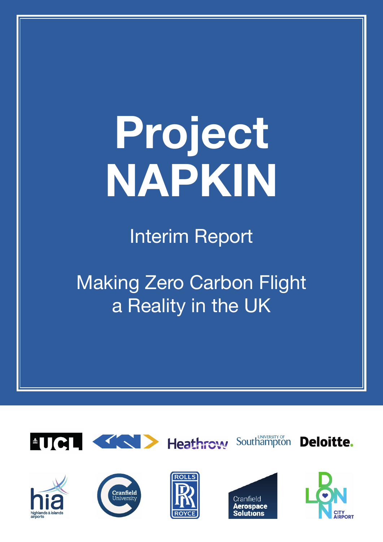# **Project NAPKIN**

Interim Report

Making Zero Carbon Flight a Reality in the UK











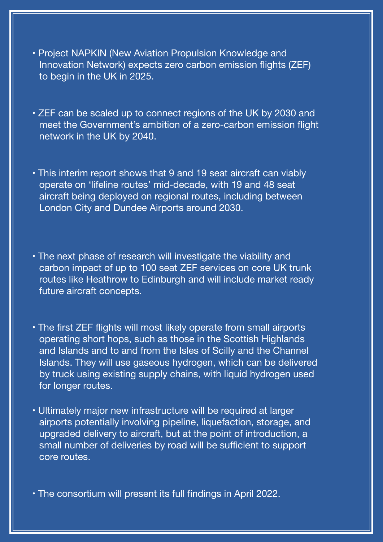- Project NAPKIN (New Aviation Propulsion Knowledge and Innovation Network) expects zero carbon emission flights (ZEF) to begin in the UK in 2025.
- ZEF can be scaled up to connect regions of the UK by 2030 and meet the Government's ambition of a zero-carbon emission flight network in the UK by 2040.
- This interim report shows that 9 and 19 seat aircraft can viably operate on 'lifeline routes' mid-decade, with 19 and 48 seat aircraft being deployed on regional routes, including between London City and Dundee Airports around 2030.
- The next phase of research will investigate the viability and carbon impact of up to 100 seat ZEF services on core UK trunk routes like Heathrow to Edinburgh and will include market ready future aircraft concepts.
- The first ZEF flights will most likely operate from small airports operating short hops, such as those in the Scottish Highlands and Islands and to and from the Isles of Scilly and the Channel Islands. They will use gaseous hydrogen, which can be delivered by truck using existing supply chains, with liquid hydrogen used for longer routes.
- Ultimately major new infrastructure will be required at larger airports potentially involving pipeline, liquefaction, storage, and upgraded delivery to aircraft, but at the point of introduction, a small number of deliveries by road will be sufficient to support core routes.

**•** The consortium will present its full findings in April 2022.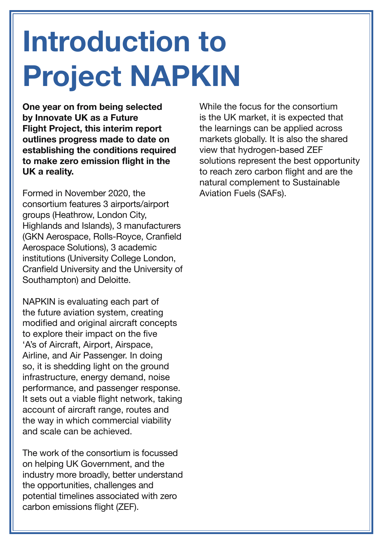## **Introduction to Project NAPKIN**

**One year on from being selected by Innovate UK as a Future Flight Project, this interim report outlines progress made to date on establishing the conditions required to make zero emission flight in the UK a reality.** 

Formed in November 2020, the consortium features 3 airports/airport groups (Heathrow, London City, Highlands and Islands), 3 manufacturers (GKN Aerospace, Rolls-Royce, Cranfield Aerospace Solutions), 3 academic institutions (University College London, Cranfield University and the University of Southampton) and Deloitte.

NAPKIN is evaluating each part of the future aviation system, creating modified and original aircraft concepts to explore their impact on the five 'A's of Aircraft, Airport, Airspace, Airline, and Air Passenger. In doing so, it is shedding light on the ground infrastructure, energy demand, noise performance, and passenger response. It sets out a viable flight network, taking account of aircraft range, routes and the way in which commercial viability and scale can be achieved.

The work of the consortium is focussed on helping UK Government, and the industry more broadly, better understand the opportunities, challenges and potential timelines associated with zero carbon emissions flight (ZEF).

While the focus for the consortium is the UK market, it is expected that the learnings can be applied across markets globally. It is also the shared view that hydrogen-based ZEF solutions represent the best opportunity to reach zero carbon flight and are the natural complement to Sustainable Aviation Fuels (SAFs).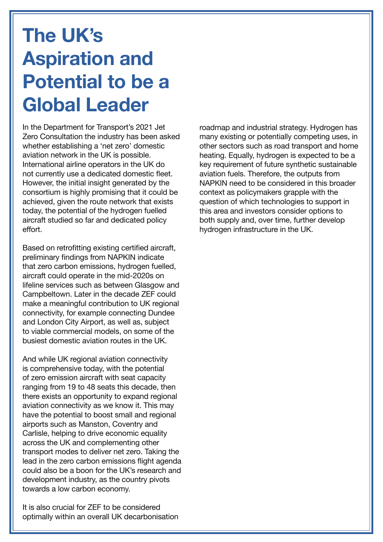### **The UK's Aspiration and Potential to be a Global Leader**

In the Department for Transport's 2021 Jet Zero Consultation the industry has been asked whether establishing a 'net zero' domestic aviation network in the UK is possible. International airline operators in the UK do not currently use a dedicated domestic fleet. However, the initial insight generated by the consortium is highly promising that it could be achieved, given the route network that exists today, the potential of the hydrogen fuelled aircraft studied so far and dedicated policy effort.

Based on retrofitting existing certified aircraft, preliminary findings from NAPKIN indicate that zero carbon emissions, hydrogen fuelled, aircraft could operate in the mid-2020s on lifeline services such as between Glasgow and Campbeltown. Later in the decade ZEF could make a meaningful contribution to UK regional connectivity, for example connecting Dundee and London City Airport, as well as, subject to viable commercial models, on some of the busiest domestic aviation routes in the UK.

And while UK regional aviation connectivity is comprehensive today, with the potential of zero emission aircraft with seat capacity ranging from 19 to 48 seats this decade, then there exists an opportunity to expand regional aviation connectivity as we know it. This may have the potential to boost small and regional airports such as Manston, Coventry and Carlisle, helping to drive economic equality across the UK and complementing other transport modes to deliver net zero. Taking the lead in the zero carbon emissions flight agenda could also be a boon for the UK's research and development industry, as the country pivots towards a low carbon economy.

It is also crucial for ZEF to be considered optimally within an overall UK decarbonisation roadmap and industrial strategy. Hydrogen has many existing or potentially competing uses, in other sectors such as road transport and home heating. Equally, hydrogen is expected to be a key requirement of future synthetic sustainable aviation fuels. Therefore, the outputs from NAPKIN need to be considered in this broader context as policymakers grapple with the question of which technologies to support in this area and investors consider options to both supply and, over time, further develop hydrogen infrastructure in the UK.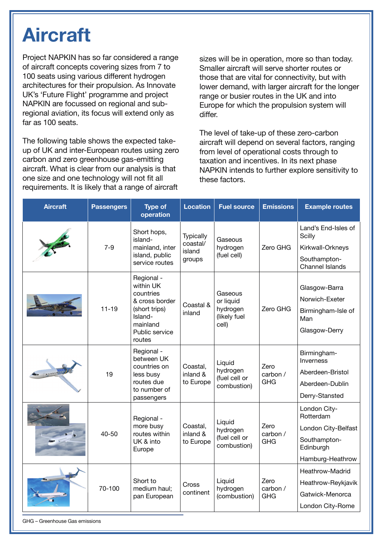### **Aircraft**

Project NAPKIN has so far considered a range of aircraft concepts covering sizes from 7 to 100 seats using various different hydrogen architectures for their propulsion. As Innovate UK's 'Future Flight' programme and project NAPKIN are focussed on regional and subregional aviation, its focus will extend only as far as 100 seats.

The following table shows the expected takeup of UK and inter-European routes using zero carbon and zero greenhouse gas-emitting aircraft. What is clear from our analysis is that one size and one technology will not fit all requirements. It is likely that a range of aircraft

sizes will be in operation, more so than today. Smaller aircraft will serve shorter routes or those that are vital for connectivity, but with lower demand, with larger aircraft for the longer range or busier routes in the UK and into Europe for which the propulsion system will differ.

The level of take-up of these zero-carbon aircraft will depend on several factors, ranging from level of operational costs through to taxation and incentives. In its next phase NAPKIN intends to further explore sensitivity to these factors.

| <b>Aircraft</b> | <b>Passengers</b> | <b>Type of</b><br>operation                                                                                                | <b>Location</b>                           | <b>Fuel source</b>                                        | <b>Emissions</b>               | <b>Example routes</b>                                                                             |
|-----------------|-------------------|----------------------------------------------------------------------------------------------------------------------------|-------------------------------------------|-----------------------------------------------------------|--------------------------------|---------------------------------------------------------------------------------------------------|
|                 | $7 - 9$           | Short hops,<br>island-<br>mainland, inter<br>island, public<br>service routes                                              | Typically<br>coastal/<br>island<br>groups | Gaseous<br>hydrogen<br>(fuel cell)                        | Zero GHG                       | Land's End-Isles of<br>Scilly<br>Kirkwall-Orkneys<br>Southampton-<br><b>Channel Islands</b>       |
|                 | $11 - 19$         | Regional -<br>within UK<br>countries<br>& cross border<br>(short trips)<br>Island-<br>mainland<br>Public service<br>routes | Coastal &<br>inland                       | Gaseous<br>or liquid<br>hydrogen<br>(likely fuel<br>cell) | Zero GHG                       | Glasgow-Barra<br>Norwich-Exeter<br>Birmingham-Isle of<br>Man<br>Glasgow-Derry                     |
|                 | 19                | Regional -<br>between UK<br>countries on<br>less busy<br>routes due<br>to number of<br>passengers                          | Coastal,<br>inland &<br>to Europe         | Liquid<br>hydrogen<br>(fuel cell or<br>combustion)        | Zero<br>carbon /<br><b>GHG</b> | Birmingham-<br>Inverness<br>Aberdeen-Bristol<br>Aberdeen-Dublin<br>Derry-Stansted                 |
|                 | 40-50             | Regional -<br>more busy<br>routes within<br>UK & into<br>Europe                                                            | Coastal,<br>inland &<br>to Europe         | Liquid<br>hydrogen<br>(fuel cell or<br>combustion)        | Zero<br>carbon /<br><b>GHG</b> | London City-<br>Rotterdam<br>London City-Belfast<br>Southampton-<br>Edinburgh<br>Hamburg-Heathrow |
|                 | 70-100            | Short to<br>medium haul;<br>pan European                                                                                   | Cross<br>continent                        | Liquid<br>hydrogen<br>(combustion)                        | Zero<br>carbon /<br><b>GHG</b> | Heathrow-Madrid<br>Heathrow-Reykjavik<br>Gatwick-Menorca<br>London City-Rome                      |

GHG – Greenhouse Gas emissions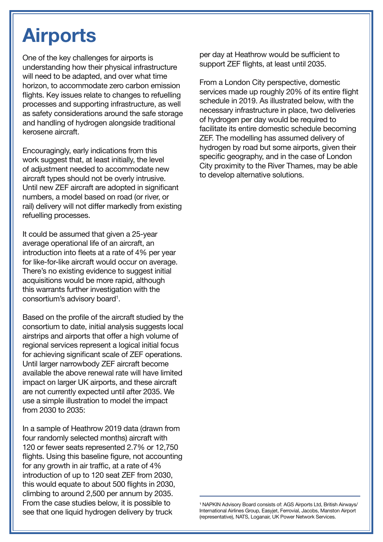### **Airports**

One of the key challenges for airports is understanding how their physical infrastructure will need to be adapted, and over what time horizon, to accommodate zero carbon emission flights. Key issues relate to changes to refuelling processes and supporting infrastructure, as well as safety considerations around the safe storage and handling of hydrogen alongside traditional kerosene aircraft.

Encouragingly, early indications from this work suggest that, at least initially, the level of adjustment needed to accommodate new aircraft types should not be overly intrusive. Until new ZEF aircraft are adopted in significant numbers, a model based on road (or river, or rail) delivery will not differ markedly from existing refuelling processes.

It could be assumed that given a 25-year average operational life of an aircraft, an introduction into fleets at a rate of 4% per year for like-for-like aircraft would occur on average. There's no existing evidence to suggest initial acquisitions would be more rapid, although this warrants further investigation with the consortium's advisory board<sup>1</sup>.

Based on the profile of the aircraft studied by the consortium to date, initial analysis suggests local airstrips and airports that offer a high volume of regional services represent a logical initial focus for achieving significant scale of ZEF operations. Until larger narrowbody ZEF aircraft become available the above renewal rate will have limited impact on larger UK airports, and these aircraft are not currently expected until after 2035. We use a simple illustration to model the impact from 2030 to 2035:

In a sample of Heathrow 2019 data (drawn from four randomly selected months) aircraft with 120 or fewer seats represented 2.7% or 12,750 flights. Using this baseline figure, not accounting for any growth in air traffic, at a rate of 4% introduction of up to 120 seat ZEF from 2030, this would equate to about 500 flights in 2030, climbing to around 2,500 per annum by 2035. From the case studies below, it is possible to see that one liquid hydrogen delivery by truck

per day at Heathrow would be sufficient to support ZEF flights, at least until 2035.

From a London City perspective, domestic services made up roughly 20% of its entire flight schedule in 2019. As illustrated below, with the necessary infrastructure in place, two deliveries of hydrogen per day would be required to facilitate its entire domestic schedule becoming ZEF. The modelling has assumed delivery of hydrogen by road but some airports, given their specific geography, and in the case of London City proximity to the River Thames, may be able to develop alternative solutions.

<sup>1</sup> NAPKIN Advisory Board consists of: AGS Airports Ltd, British Airways/ International Airlines Group, Easyjet, Ferrovial, Jacobs, Manston Airport (representative), NATS, Loganair, UK Power Network Services.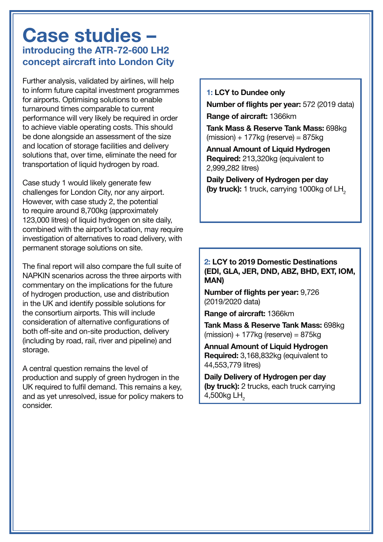### **Case studies – introducing the ATR-72-600 LH2 concept aircraft into London City**

Further analysis, validated by airlines, will help to inform future capital investment programmes for airports. Optimising solutions to enable turnaround times comparable to current performance will very likely be required in order to achieve viable operating costs. This should be done alongside an assessment of the size and location of storage facilities and delivery solutions that, over time, eliminate the need for transportation of liquid hydrogen by road.

Case study 1 would likely generate few challenges for London City, nor any airport. However, with case study 2, the potential to require around 8,700kg (approximately 123,000 litres) of liquid hydrogen on site daily, combined with the airport's location, may require investigation of alternatives to road delivery, with permanent storage solutions on site.

The final report will also compare the full suite of NAPKIN scenarios across the three airports with commentary on the implications for the future of hydrogen production, use and distribution in the UK and identify possible solutions for the consortium airports. This will include consideration of alternative configurations of both off-site and on-site production, delivery (including by road, rail, river and pipeline) and storage.

A central question remains the level of production and supply of green hydrogen in the UK required to fulfil demand. This remains a key, and as yet unresolved, issue for policy makers to consider.

#### **1: LCY to Dundee only**

**Number of flights per year:** 572 (2019 data)

**Range of aircraft:** 1366km

**Tank Mass & Reserve Tank Mass:** 698kg  $(mission) + 177$ ka (reserve) = 875kg

**Annual Amount of Liquid Hydrogen Required:** 213,320kg (equivalent to 2,999,282 litres)

**Daily Delivery of Hydrogen per day (by truck):** 1 truck, carrying 1000kg of LH<sub>2</sub>

### **2: LCY to 2019 Domestic Destinations (EDI, GLA, JER, DND, ABZ, BHD, EXT, IOM, MAN)**

**Number of flights per year:** 9,726 (2019/2020 data)

**Range of aircraft:** 1366km

**Tank Mass & Reserve Tank Mass:** 698kg  $(mission) + 177$ kg (reserve) = 875kg

**Annual Amount of Liquid Hydrogen Required:** 3,168,832kg (equivalent to 44,553,779 litres)

**Daily Delivery of Hydrogen per day (by truck):** 2 trucks, each truck carrying 4,500kg LH<sub>2</sub>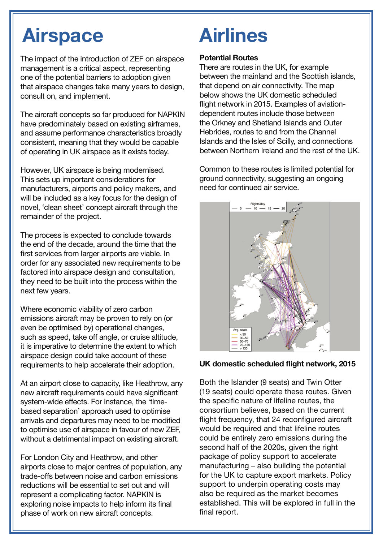### **Airspace Airlines**

The impact of the introduction of ZEF on airspace management is a critical aspect, representing one of the potential barriers to adoption given that airspace changes take many years to design, consult on, and implement.

The aircraft concepts so far produced for NAPKIN have predominately based on existing airframes, and assume performance characteristics broadly consistent, meaning that they would be capable of operating in UK airspace as it exists today.

However, UK airspace is being modernised. This sets up important considerations for manufacturers, airports and policy makers, and will be included as a key focus for the design of novel, 'clean sheet' concept aircraft through the remainder of the project.

The process is expected to conclude towards the end of the decade, around the time that the first services from larger airports are viable. In order for any associated new requirements to be factored into airspace design and consultation, they need to be built into the process within the next few years.

Where economic viability of zero carbon emissions aircraft may be proven to rely on (or even be optimised by) operational changes, such as speed, take off angle, or cruise altitude, it is imperative to determine the extent to which airspace design could take account of these requirements to help accelerate their adoption.

At an airport close to capacity, like Heathrow, any new aircraft requirements could have significant system-wide effects. For instance, the 'timebased separation' approach used to optimise arrivals and departures may need to be modified to optimise use of airspace in favour of new ZEF, without a detrimental impact on existing aircraft.

For London City and Heathrow, and other airports close to major centres of population, any trade-offs between noise and carbon emissions reductions will be essential to set out and will represent a complicating factor. NAPKIN is exploring noise impacts to help inform its final phase of work on new aircraft concepts.

### **Potential Routes**

There are routes in the UK, for example between the mainland and the Scottish islands, that depend on air connectivity. The map below shows the UK domestic scheduled flight network in 2015. Examples of aviationdependent routes include those between the Orkney and Shetland Islands and Outer Hebrides, routes to and from the Channel Islands and the Isles of Scilly, and connections between Northern Ireland and the rest of the UK.

Common to these routes is limited potential for ground connectivity, suggesting an ongoing need for continued air service.



### **UK domestic scheduled flight network, 2015**

Both the Islander (9 seats) and Twin Otter (19 seats) could operate these routes. Given the specific nature of lifeline routes, the consortium believes, based on the current flight frequency, that 24 reconfigured aircraft would be required and that lifeline routes could be entirely zero emissions during the second half of the 2020s, given the right package of policy support to accelerate manufacturing – also building the potential for the UK to capture export markets. Policy support to underpin operating costs may also be required as the market becomes established. This will be explored in full in the final report.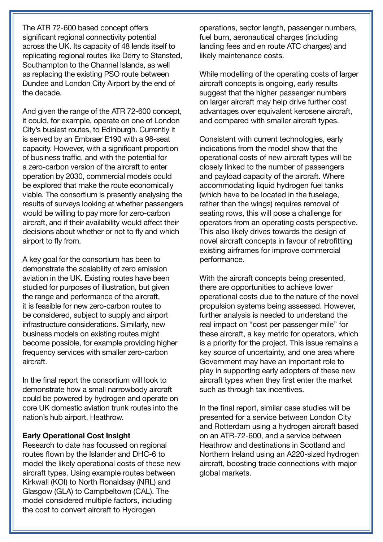The ATR 72-600 based concept offers significant regional connectivity potential across the UK. Its capacity of 48 lends itself to replicating regional routes like Derry to Stansted, Southampton to the Channel Islands, as well as replacing the existing PSO route between Dundee and London City Airport by the end of the decade.

And given the range of the ATR 72-600 concept, it could, for example, operate on one of London City's busiest routes, to Edinburgh. Currently it is served by an Embraer E190 with a 98-seat capacity. However, with a significant proportion of business traffic, and with the potential for a zero-carbon version of the aircraft to enter operation by 2030, commercial models could be explored that make the route economically viable. The consortium is presently analysing the results of surveys looking at whether passengers would be willing to pay more for zero-carbon aircraft, and if their availability would affect their decisions about whether or not to fly and which airport to fly from.

A key goal for the consortium has been to demonstrate the scalability of zero emission aviation in the UK. Existing routes have been studied for purposes of illustration, but given the range and performance of the aircraft, it is feasible for new zero-carbon routes to be considered, subject to supply and airport infrastructure considerations. Similarly, new business models on existing routes might become possible, for example providing higher frequency services with smaller zero-carbon aircraft.

In the final report the consortium will look to demonstrate how a small narrowbody aircraft could be powered by hydrogen and operate on core UK domestic aviation trunk routes into the nation's hub airport, Heathrow.

#### **Early Operational Cost Insight**

Research to date has focussed on regional routes flown by the Islander and DHC-6 to model the likely operational costs of these new aircraft types. Using example routes between Kirkwall (KOI) to North Ronaldsay (NRL) and Glasgow (GLA) to Campbeltown (CAL). The model considered multiple factors, including the cost to convert aircraft to Hydrogen

operations, sector length, passenger numbers, fuel burn, aeronautical charges (including landing fees and en route ATC charges) and likely maintenance costs.

While modelling of the operating costs of larger aircraft concepts is ongoing, early results suggest that the higher passenger numbers on larger aircraft may help drive further cost advantages over equivalent kerosene aircraft, and compared with smaller aircraft types.

Consistent with current technologies, early indications from the model show that the operational costs of new aircraft types will be closely linked to the number of passengers and payload capacity of the aircraft. Where accommodating liquid hydrogen fuel tanks (which have to be located in the fuselage, rather than the wings) requires removal of seating rows, this will pose a challenge for operators from an operating costs perspective. This also likely drives towards the design of novel aircraft concepts in favour of retrofitting existing airframes for improve commercial performance.

With the aircraft concepts being presented, there are opportunities to achieve lower operational costs due to the nature of the novel propulsion systems being assessed. However, further analysis is needed to understand the real impact on "cost per passenger mile" for these aircraft, a key metric for operators, which is a priority for the project. This issue remains a key source of uncertainty, and one area where Government may have an important role to play in supporting early adopters of these new aircraft types when they first enter the market such as through tax incentives.

In the final report, similar case studies will be presented for a service between London City and Rotterdam using a hydrogen aircraft based on an ATR-72-600, and a service between Heathrow and destinations in Scotland and Northern Ireland using an A220-sized hydrogen aircraft, boosting trade connections with major global markets.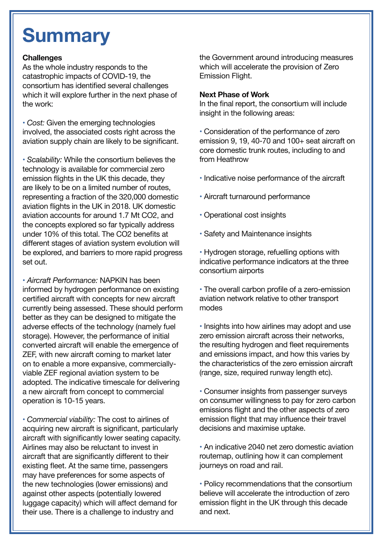### **Summary**

### **Challenges**

As the whole industry responds to the catastrophic impacts of COVID-19, the consortium has identified several challenges which it will explore further in the next phase of the work:

**•** *Cost:* Given the emerging technologies involved, the associated costs right across the aviation supply chain are likely to be significant.

**•** *Scalability:* While the consortium believes the technology is available for commercial zero emission flights in the UK this decade, they are likely to be on a limited number of routes, representing a fraction of the 320,000 domestic aviation flights in the UK in 2018. UK domestic aviation accounts for around 1.7 Mt CO2, and the concepts explored so far typically address under 10% of this total. The CO2 benefits at different stages of aviation system evolution will be explored, and barriers to more rapid progress set out.

**•** *Aircraft Performance:* NAPKIN has been informed by hydrogen performance on existing certified aircraft with concepts for new aircraft currently being assessed. These should perform better as they can be designed to mitigate the adverse effects of the technology (namely fuel storage). However, the performance of initial converted aircraft will enable the emergence of ZEF, with new aircraft coming to market later on to enable a more expansive, commerciallyviable ZEF regional aviation system to be adopted. The indicative timescale for delivering a new aircraft from concept to commercial operation is 10-15 years.

**•** *Commercial viability:* The cost to airlines of acquiring new aircraft is significant, particularly aircraft with significantly lower seating capacity. Airlines may also be reluctant to invest in aircraft that are significantly different to their existing fleet. At the same time, passengers may have preferences for some aspects of the new technologies (lower emissions) and against other aspects (potentially lowered luggage capacity) which will affect demand for their use. There is a challenge to industry and

the Government around introducing measures which will accelerate the provision of Zero Emission Flight.

#### **Next Phase of Work**

In the final report, the consortium will include insight in the following areas:

**•** Consideration of the performance of zero emission 9, 19, 40-70 and 100+ seat aircraft on core domestic trunk routes, including to and from Heathrow

- **•** Indicative noise performance of the aircraft
- Aircraft turnaround performance
- Operational cost insights
- Safety and Maintenance insights

**•** Hydrogen storage, refuelling options with indicative performance indicators at the three consortium airports

**•** The overall carbon profile of a zero-emission aviation network relative to other transport modes

**•** Insights into how airlines may adopt and use zero emission aircraft across their networks, the resulting hydrogen and fleet requirements and emissions impact, and how this varies by the characteristics of the zero emission aircraft (range, size, required runway length etc).

**•** Consumer insights from passenger surveys on consumer willingness to pay for zero carbon emissions flight and the other aspects of zero emission flight that may influence their travel decisions and maximise uptake.

**•** An indicative 2040 net zero domestic aviation routemap, outlining how it can complement journeys on road and rail.

**•** Policy recommendations that the consortium believe will accelerate the introduction of zero emission flight in the UK through this decade and next.